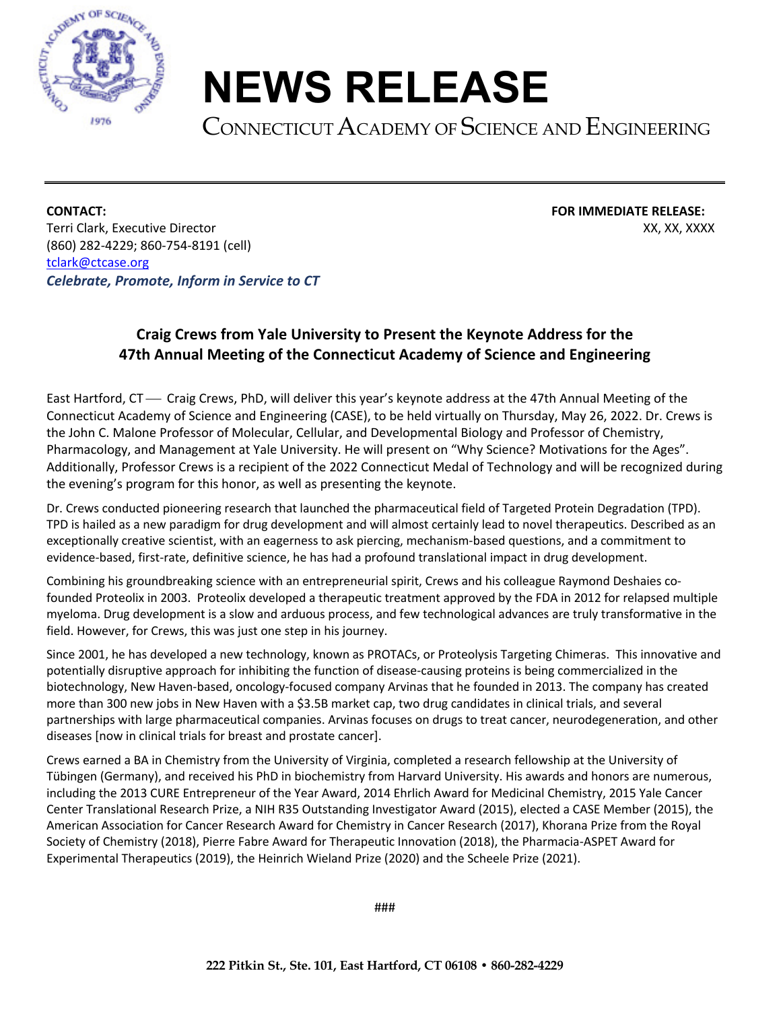

## **NEWS RELEASE**

CONNECTICUT ACADEMY OF SCIENCE AND ENGINEERING

**CONTACT: FOR IMMEDIATE RELEASE:** Terri Clark, Executive Director XX, XX, XXXX (860) 282-4229; 860-754-8191 (cell) tclark@ctcase.org *Celebrate, Promote, Inform in Service to CT*

## **Craig Crews from Yale University to Present the Keynote Address for the 47th Annual Meeting of the Connecticut Academy of Science and Engineering**

East Hartford, CT — Craig Crews, PhD, will deliver this year's keynote address at the 47th Annual Meeting of the Connecticut Academy of Science and Engineering (CASE), to be held virtually on Thursday, May 26, 2022. Dr. Crews is the John C. Malone Professor of Molecular, Cellular, and Developmental Biology and Professor of Chemistry, Pharmacology, and Management at Yale University. He will present on "Why Science? Motivations for the Ages". Additionally, Professor Crews is a recipient of the 2022 Connecticut Medal of Technology and will be recognized during the evening's program for this honor, as well as presenting the keynote.

Dr. Crews conducted pioneering research that launched the pharmaceutical field of Targeted Protein Degradation (TPD). TPD is hailed as a new paradigm for drug development and will almost certainly lead to novel therapeutics. Described as an exceptionally creative scientist, with an eagerness to ask piercing, mechanism-based questions, and a commitment to evidence-based, first-rate, definitive science, he has had a profound translational impact in drug development.

Combining his groundbreaking science with an entrepreneurial spirit, Crews and his colleague Raymond Deshaies cofounded Proteolix in 2003. Proteolix developed a therapeutic treatment approved by the FDA in 2012 for relapsed multiple myeloma. Drug development is a slow and arduous process, and few technological advances are truly transformative in the field. However, for Crews, this was just one step in his journey.

Since 2001, he has developed a new technology, known as PROTACs, or Proteolysis Targeting Chimeras. This innovative and potentially disruptive approach for inhibiting the function of disease-causing proteins is being commercialized in the biotechnology, New Haven-based, oncology-focused company Arvinas that he founded in 2013. The company has created more than 300 new jobs in New Haven with a \$3.5B market cap, two drug candidates in clinical trials, and several partnerships with large pharmaceutical companies. Arvinas focuses on drugs to treat cancer, neurodegeneration, and other diseases [now in clinical trials for breast and prostate cancer].

Crews earned a BA in Chemistry from the University of Virginia, completed a research fellowship at the University of Tübingen (Germany), and received his PhD in biochemistry from Harvard University. His awards and honors are numerous, including the 2013 CURE Entrepreneur of the Year Award, 2014 Ehrlich Award for Medicinal Chemistry, 2015 Yale Cancer Center Translational Research Prize, a NIH R35 Outstanding Investigator Award (2015), elected a CASE Member (2015), the American Association for Cancer Research Award for Chemistry in Cancer Research (2017), Khorana Prize from the Royal Society of Chemistry (2018), Pierre Fabre Award for Therapeutic Innovation (2018), the Pharmacia-ASPET Award for Experimental Therapeutics (2019), the Heinrich Wieland Prize (2020) and the Scheele Prize (2021).

###